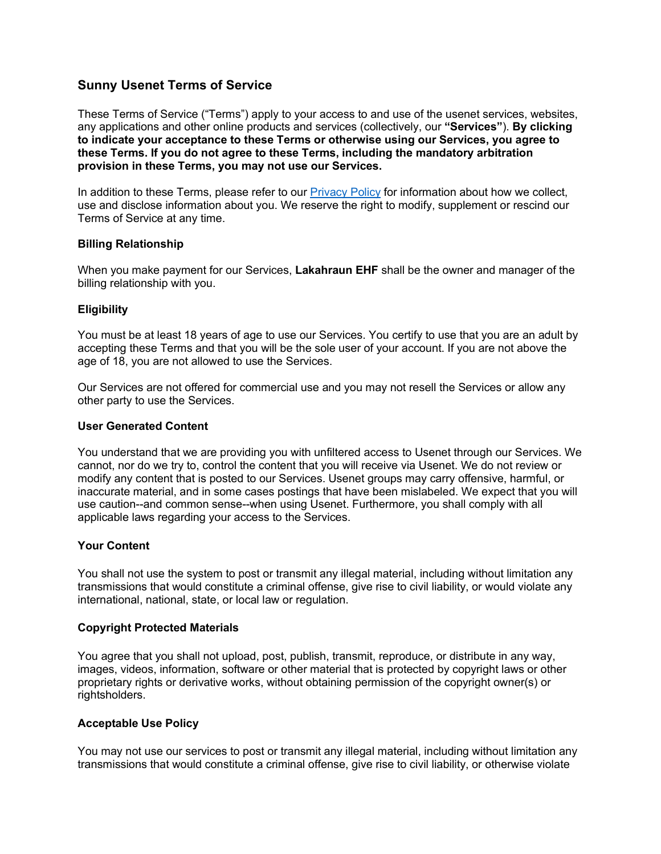# **Sunny Usenet Terms of Service**

These Terms of Service ("Terms") apply to your access to and use of the usenet services, websites, any applications and other online products and services (collectively, our **"Services"**). **By clicking to indicate your acceptance to these Terms or otherwise using our Services, you agree to these Terms. If you do not agree to these Terms, including the mandatory arbitration provision in these Terms, you may not use our Services.** 

In addition to these Terms, please refer to our [Privacy Policy](https://www.sunnyusenet.com/en/privacy-statement) for information about how we collect, use and disclose information about you. We reserve the right to modify, supplement or rescind our Terms of Service at any time.

# **Billing Relationship**

When you make payment for our Services, **Lakahraun EHF** shall be the owner and manager of the billing relationship with you.

# **Eligibility**

You must be at least 18 years of age to use our Services. You certify to use that you are an adult by accepting these Terms and that you will be the sole user of your account. If you are not above the age of 18, you are not allowed to use the Services.

Our Services are not offered for commercial use and you may not resell the Services or allow any other party to use the Services.

### **User Generated Content**

You understand that we are providing you with unfiltered access to Usenet through our Services. We cannot, nor do we try to, control the content that you will receive via Usenet. We do not review or modify any content that is posted to our Services. Usenet groups may carry offensive, harmful, or inaccurate material, and in some cases postings that have been mislabeled. We expect that you will use caution--and common sense--when using Usenet. Furthermore, you shall comply with all applicable laws regarding your access to the Services.

#### **Your Content**

You shall not use the system to post or transmit any illegal material, including without limitation any transmissions that would constitute a criminal offense, give rise to civil liability, or would violate any international, national, state, or local law or regulation.

#### **Copyright Protected Materials**

You agree that you shall not upload, post, publish, transmit, reproduce, or distribute in any way, images, videos, information, software or other material that is protected by copyright laws or other proprietary rights or derivative works, without obtaining permission of the copyright owner(s) or rightsholders.

# **Acceptable Use Policy**

You may not use our services to post or transmit any illegal material, including without limitation any transmissions that would constitute a criminal offense, give rise to civil liability, or otherwise violate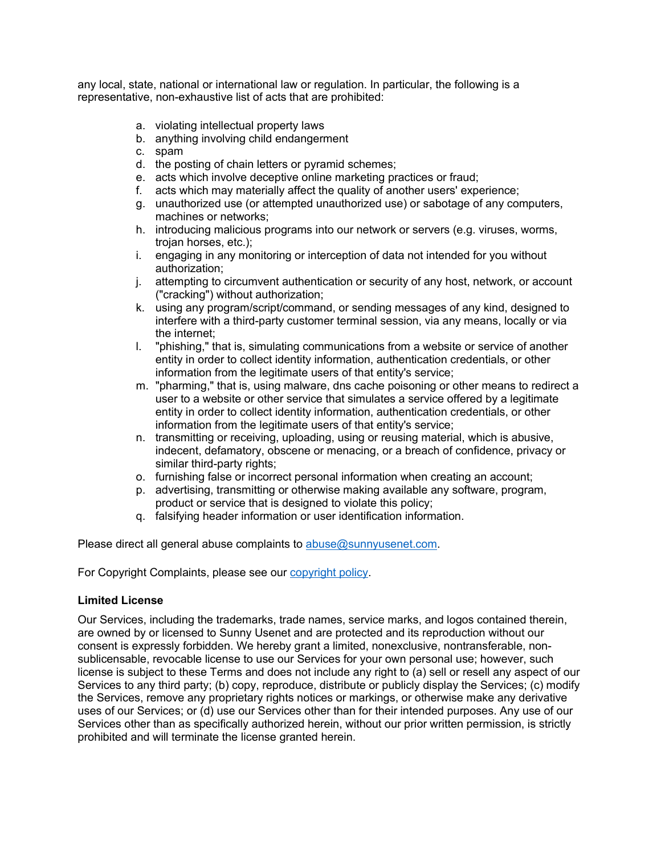any local, state, national or international law or regulation. In particular, the following is a representative, non-exhaustive list of acts that are prohibited:

- a. violating intellectual property laws
- b. anything involving child endangerment
- c. spam
- d. the posting of chain letters or pyramid schemes;
- e. acts which involve deceptive online marketing practices or fraud;
- f. acts which may materially affect the quality of another users' experience;
- g. unauthorized use (or attempted unauthorized use) or sabotage of any computers, machines or networks;
- h. introducing malicious programs into our network or servers (e.g. viruses, worms, trojan horses, etc.);
- i. engaging in any monitoring or interception of data not intended for you without authorization;
- j. attempting to circumvent authentication or security of any host, network, or account ("cracking") without authorization;
- k. using any program/script/command, or sending messages of any kind, designed to interfere with a third-party customer terminal session, via any means, locally or via the internet;
- l. "phishing," that is, simulating communications from a website or service of another entity in order to collect identity information, authentication credentials, or other information from the legitimate users of that entity's service;
- m. "pharming," that is, using malware, dns cache poisoning or other means to redirect a user to a website or other service that simulates a service offered by a legitimate entity in order to collect identity information, authentication credentials, or other information from the legitimate users of that entity's service;
- n. transmitting or receiving, uploading, using or reusing material, which is abusive, indecent, defamatory, obscene or menacing, or a breach of confidence, privacy or similar third-party rights;
- o. furnishing false or incorrect personal information when creating an account;
- p. advertising, transmitting or otherwise making available any software, program, product or service that is designed to violate this policy;
- q. falsifying header information or user identification information.

Please direct all general abuse complaints to [abuse@sunnyusenet.com.](mailto:abuse@sunnyusenet.com)

For Copyright Complaints, please see our [copyright](https://www.sunnyusenet.com/en/copyright-infringement-policy) policy.

# **Limited License**

Our Services, including the trademarks, trade names, service marks, and logos contained therein, are owned by or licensed to Sunny Usenet and are protected and its reproduction without our consent is expressly forbidden. We hereby grant a limited, nonexclusive, nontransferable, nonsublicensable, revocable license to use our Services for your own personal use; however, such license is subject to these Terms and does not include any right to (a) sell or resell any aspect of our Services to any third party; (b) copy, reproduce, distribute or publicly display the Services; (c) modify the Services, remove any proprietary rights notices or markings, or otherwise make any derivative uses of our Services; or (d) use our Services other than for their intended purposes. Any use of our Services other than as specifically authorized herein, without our prior written permission, is strictly prohibited and will terminate the license granted herein.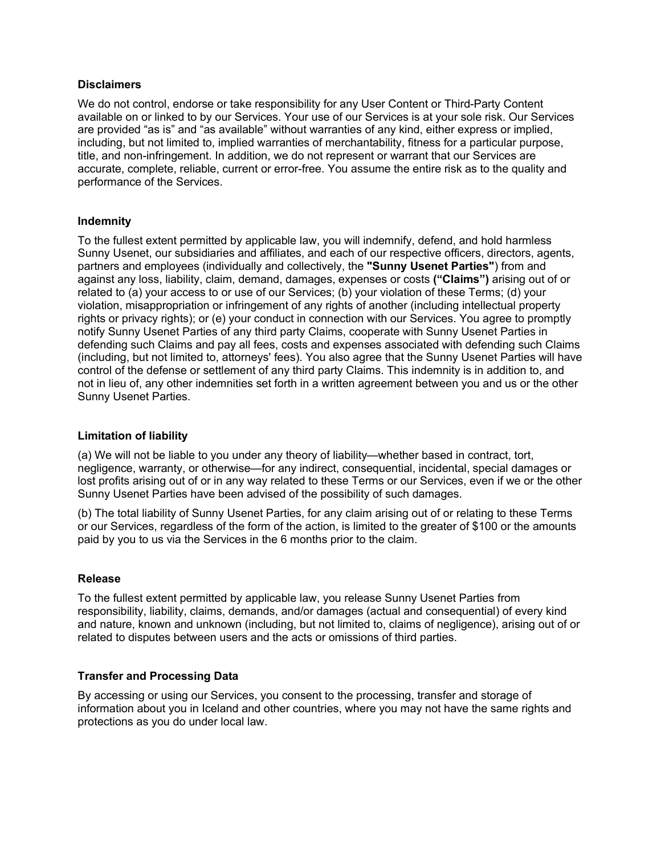### **Disclaimers**

We do not control, endorse or take responsibility for any User Content or Third-Party Content available on or linked to by our Services. Your use of our Services is at your sole risk. Our Services are provided "as is" and "as available" without warranties of any kind, either express or implied, including, but not limited to, implied warranties of merchantability, fitness for a particular purpose, title, and non-infringement. In addition, we do not represent or warrant that our Services are accurate, complete, reliable, current or error-free. You assume the entire risk as to the quality and performance of the Services.

### **Indemnity**

To the fullest extent permitted by applicable law, you will indemnify, defend, and hold harmless Sunny Usenet, our subsidiaries and affiliates, and each of our respective officers, directors, agents, partners and employees (individually and collectively, the **"Sunny Usenet Parties"**) from and against any loss, liability, claim, demand, damages, expenses or costs **("Claims")** arising out of or related to (a) your access to or use of our Services; (b) your violation of these Terms; (d) your violation, misappropriation or infringement of any rights of another (including intellectual property rights or privacy rights); or (e) your conduct in connection with our Services. You agree to promptly notify Sunny Usenet Parties of any third party Claims, cooperate with Sunny Usenet Parties in defending such Claims and pay all fees, costs and expenses associated with defending such Claims (including, but not limited to, attorneys' fees). You also agree that the Sunny Usenet Parties will have control of the defense or settlement of any third party Claims. This indemnity is in addition to, and not in lieu of, any other indemnities set forth in a written agreement between you and us or the other Sunny Usenet Parties.

# **Limitation of liability**

(a) We will not be liable to you under any theory of liability—whether based in contract, tort, negligence, warranty, or otherwise—for any indirect, consequential, incidental, special damages or lost profits arising out of or in any way related to these Terms or our Services, even if we or the other Sunny Usenet Parties have been advised of the possibility of such damages.

(b) The total liability of Sunny Usenet Parties, for any claim arising out of or relating to these Terms or our Services, regardless of the form of the action, is limited to the greater of \$100 or the amounts paid by you to us via the Services in the 6 months prior to the claim.

#### **Release**

To the fullest extent permitted by applicable law, you release Sunny Usenet Parties from responsibility, liability, claims, demands, and/or damages (actual and consequential) of every kind and nature, known and unknown (including, but not limited to, claims of negligence), arising out of or related to disputes between users and the acts or omissions of third parties.

# **Transfer and Processing Data**

By accessing or using our Services, you consent to the processing, transfer and storage of information about you in Iceland and other countries, where you may not have the same rights and protections as you do under local law.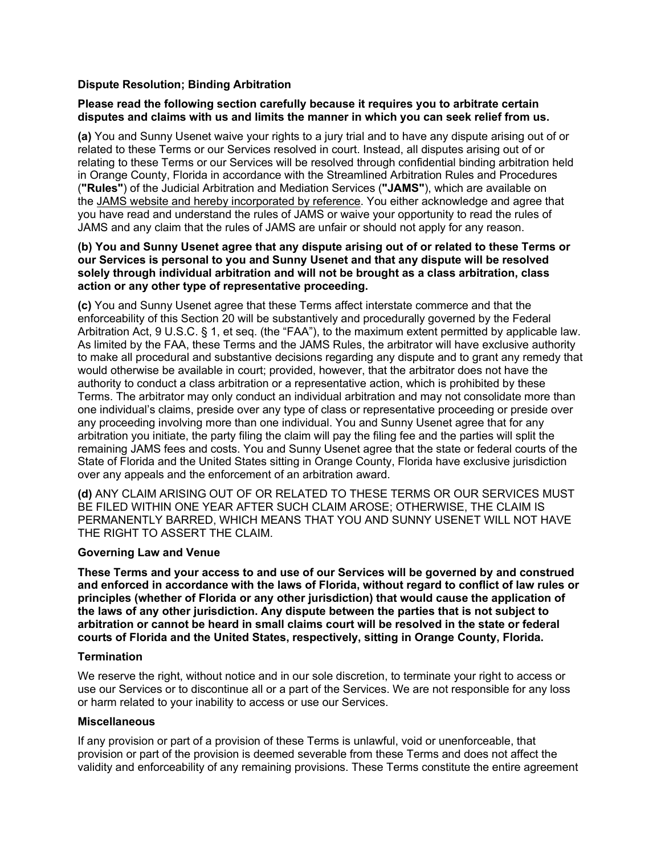# **Dispute Resolution; Binding Arbitration**

### **Please read the following section carefully because it requires you to arbitrate certain disputes and claims with us and limits the manner in which you can seek relief from us.**

**(a)** You and Sunny Usenet waive your rights to a jury trial and to have any dispute arising out of or related to these Terms or our Services resolved in court. Instead, all disputes arising out of or relating to these Terms or our Services will be resolved through confidential binding arbitration held in Orange County, Florida in accordance with the Streamlined Arbitration Rules and Procedures (**"Rules"**) of the Judicial Arbitration and Mediation Services (**"JAMS"**), which are available on the [JAMS website and hereby incorporated by reference.](https://www.jamsadr.com/) You either acknowledge and agree that you have read and understand the rules of JAMS or waive your opportunity to read the rules of JAMS and any claim that the rules of JAMS are unfair or should not apply for any reason.

### **(b) You and Sunny Usenet agree that any dispute arising out of or related to these Terms or our Services is personal to you and Sunny Usenet and that any dispute will be resolved solely through individual arbitration and will not be brought as a class arbitration, class action or any other type of representative proceeding.**

**(c)** You and Sunny Usenet agree that these Terms affect interstate commerce and that the enforceability of this Section 20 will be substantively and procedurally governed by the Federal Arbitration Act, 9 U.S.C. § 1, et seq. (the "FAA"), to the maximum extent permitted by applicable law. As limited by the FAA, these Terms and the JAMS Rules, the arbitrator will have exclusive authority to make all procedural and substantive decisions regarding any dispute and to grant any remedy that would otherwise be available in court; provided, however, that the arbitrator does not have the authority to conduct a class arbitration or a representative action, which is prohibited by these Terms. The arbitrator may only conduct an individual arbitration and may not consolidate more than one individual's claims, preside over any type of class or representative proceeding or preside over any proceeding involving more than one individual. You and Sunny Usenet agree that for any arbitration you initiate, the party filing the claim will pay the filing fee and the parties will split the remaining JAMS fees and costs. You and Sunny Usenet agree that the state or federal courts of the State of Florida and the United States sitting in Orange County, Florida have exclusive jurisdiction over any appeals and the enforcement of an arbitration award.

**(d)** ANY CLAIM ARISING OUT OF OR RELATED TO THESE TERMS OR OUR SERVICES MUST BE FILED WITHIN ONE YEAR AFTER SUCH CLAIM AROSE; OTHERWISE, THE CLAIM IS PERMANENTLY BARRED, WHICH MEANS THAT YOU AND SUNNY USENET WILL NOT HAVE THE RIGHT TO ASSERT THE CLAIM.

# **Governing Law and Venue**

**These Terms and your access to and use of our Services will be governed by and construed and enforced in accordance with the laws of Florida, without regard to conflict of law rules or principles (whether of Florida or any other jurisdiction) that would cause the application of the laws of any other jurisdiction. Any dispute between the parties that is not subject to arbitration or cannot be heard in small claims court will be resolved in the state or federal courts of Florida and the United States, respectively, sitting in Orange County, Florida.**

#### **Termination**

We reserve the right, without notice and in our sole discretion, to terminate your right to access or use our Services or to discontinue all or a part of the Services. We are not responsible for any loss or harm related to your inability to access or use our Services.

#### **Miscellaneous**

If any provision or part of a provision of these Terms is unlawful, void or unenforceable, that provision or part of the provision is deemed severable from these Terms and does not affect the validity and enforceability of any remaining provisions. These Terms constitute the entire agreement